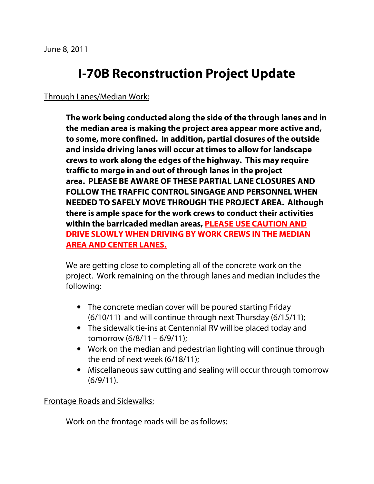## **I-70B Reconstruction Project Update**

## Through Lanes/Median Work:

**The work being conducted along the side of the through lanes and in the median area is making the project area appear more active and, to some, more confined. In addition, partial closures of the outside and inside driving lanes will occur at times to allow for landscape crews to work along the edges of the highway. This may require traffic to merge in and out of through lanes in the project area. PLEASE BE AWARE OF THESE PARTIAL LANE CLOSURES AND FOLLOW THE TRAFFIC CONTROL SINGAGE AND PERSONNEL WHEN NEEDED TO SAFELY MOVE THROUGH THE PROJECT AREA. Although there is ample space for the work crews to conduct their activities within the barricaded median areas, PLEASE USE CAUTION AND DRIVE SLOWLY WHEN DRIVING BY WORK CREWS IN THE MEDIAN AREA AND CENTER LANES.** 

We are getting close to completing all of the concrete work on the project. Work remaining on the through lanes and median includes the following:

- The concrete median cover will be poured starting Friday (6/10/11) and will continue through next Thursday (6/15/11);
- The sidewalk tie-ins at Centennial RV will be placed today and tomorrow (6/8/11 – 6/9/11);
- Work on the median and pedestrian lighting will continue through the end of next week (6/18/11);
- Miscellaneous saw cutting and sealing will occur through tomorrow (6/9/11).

Frontage Roads and Sidewalks:

Work on the frontage roads will be as follows: